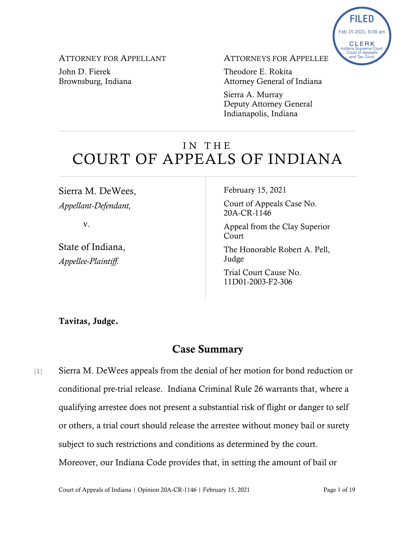

ATTORNEY FOR APPELLANT

John D. Fierek Brownsburg, Indiana ATTORNEYS FOR APPELLEE

Theodore E. Rokita Attorney General of Indiana

Sierra A. Murray Deputy Attorney General Indianapolis, Indiana

# IN THE COURT OF APPEALS OF INDIANA

Sierra M. DeWees, *Appellant-Defendant,*

v.

State of Indiana, *Appellee-Plaintiff.*

February 15, 2021

Court of Appeals Case No. 20A-CR-1146

Appeal from the Clay Superior Court

The Honorable Robert A. Pell, Judge

Trial Court Cause No. 11D01-2003-F2-306

Tavitas, Judge.

# Case Summary

[1] Sierra M. DeWees appeals from the denial of her motion for bond reduction or conditional pre-trial release. Indiana Criminal Rule 26 warrants that, where a qualifying arrestee does not present a substantial risk of flight or danger to self or others, a trial court should release the arrestee without money bail or surety subject to such restrictions and conditions as determined by the court. Moreover, our Indiana Code provides that, in setting the amount of bail or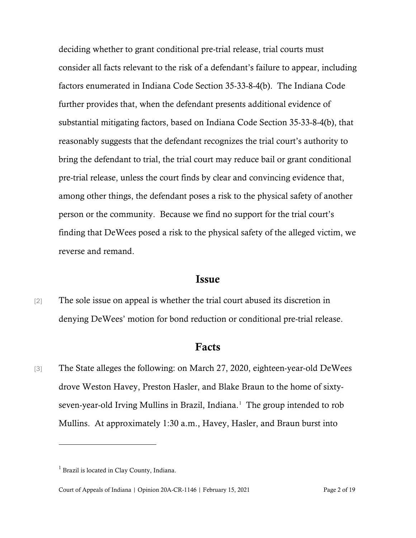deciding whether to grant conditional pre-trial release, trial courts must consider all facts relevant to the risk of a defendant's failure to appear, including factors enumerated in Indiana Code Section 35-33-8-4(b). The Indiana Code further provides that, when the defendant presents additional evidence of substantial mitigating factors, based on Indiana Code Section 35-33-8-4(b), that reasonably suggests that the defendant recognizes the trial court's authority to bring the defendant to trial, the trial court may reduce bail or grant conditional pre-trial release, unless the court finds by clear and convincing evidence that, among other things, the defendant poses a risk to the physical safety of another person or the community. Because we find no support for the trial court's finding that DeWees posed a risk to the physical safety of the alleged victim, we reverse and remand.

### Issue

[2] The sole issue on appeal is whether the trial court abused its discretion in denying DeWees' motion for bond reduction or conditional pre-trial release.

### Facts

[3] The State alleges the following: on March 27, 2020, eighteen-year-old DeWees drove Weston Havey, Preston Hasler, and Blake Braun to the home of sixtyseven-year-old Irving Mullins in Brazil, Indiana. [1](#page-1-0) The group intended to rob Mullins. At approximately 1:30 a.m., Havey, Hasler, and Braun burst into

<span id="page-1-0"></span> $<sup>1</sup>$  Brazil is located in Clay County, Indiana.</sup>

Court of Appeals of Indiana | Opinion 20A-CR-1146 | February 15, 2021 Page 2 of 19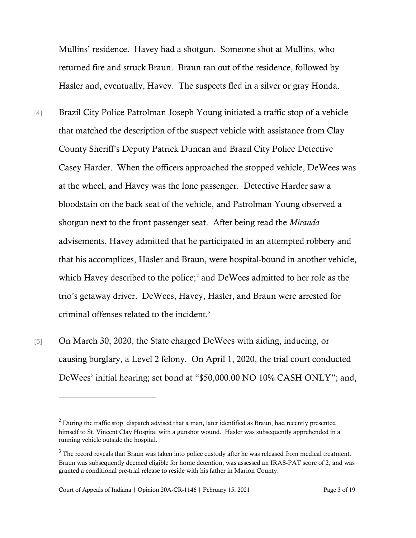Mullins' residence. Havey had a shotgun. Someone shot at Mullins, who returned fire and struck Braun. Braun ran out of the residence, followed by Hasler and, eventually, Havey. The suspects fled in a silver or gray Honda.

- [4] Brazil City Police Patrolman Joseph Young initiated a traffic stop of a vehicle that matched the description of the suspect vehicle with assistance from Clay County Sheriff's Deputy Patrick Duncan and Brazil City Police Detective Casey Harder. When the officers approached the stopped vehicle, DeWees was at the wheel, and Havey was the lone passenger. Detective Harder saw a bloodstain on the back seat of the vehicle, and Patrolman Young observed a shotgun next to the front passenger seat. After being read the *Miranda* advisements, Havey admitted that he participated in an attempted robbery and that his accomplices, Hasler and Braun, were hospital-bound in another vehicle, which Havey described to the police; [2](#page-2-0) and DeWees admitted to her role as the trio's getaway driver. DeWees, Havey, Hasler, and Braun were arrested for criminal offenses related to the incident. [3](#page-2-1)
- [5] On March 30, 2020, the State charged DeWees with aiding, inducing, or causing burglary, a Level 2 felony. On April 1, 2020, the trial court conducted DeWees' initial hearing; set bond at "\$50,000.00 NO 10% CASH ONLY"; and,

<span id="page-2-0"></span> $2$  During the traffic stop, dispatch advised that a man, later identified as Braun, had recently presented himself to St. Vincent Clay Hospital with a gunshot wound. Hasler was subsequently apprehended in a running vehicle outside the hospital.

<span id="page-2-1"></span><sup>&</sup>lt;sup>3</sup> The record reveals that Braun was taken into police custody after he was released from medical treatment. Braun was subsequently deemed eligible for home detention, was assessed an IRAS-PAT score of 2, and was granted a conditional pre-trial release to reside with his father in Marion County.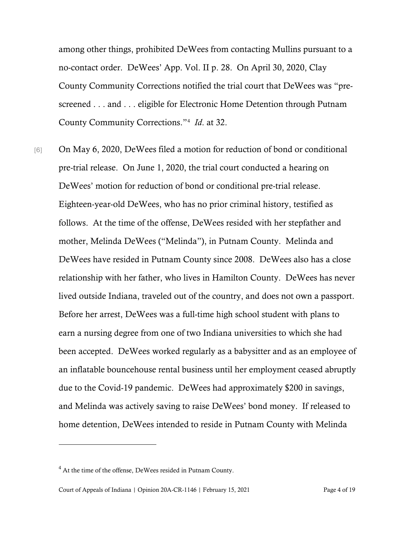among other things, prohibited DeWees from contacting Mullins pursuant to a no-contact order. DeWees' App. Vol. II p. 28. On April 30, 2020, Clay County Community Corrections notified the trial court that DeWees was "prescreened . . . and . . . eligible for Electronic Home Detention through Putnam County Community Corrections."[4](#page-3-0) *Id*. at 32.

[6] On May 6, 2020, DeWees filed a motion for reduction of bond or conditional pre-trial release. On June 1, 2020, the trial court conducted a hearing on DeWees' motion for reduction of bond or conditional pre-trial release. Eighteen-year-old DeWees, who has no prior criminal history, testified as follows. At the time of the offense, DeWees resided with her stepfather and mother, Melinda DeWees ("Melinda"), in Putnam County. Melinda and DeWees have resided in Putnam County since 2008. DeWees also has a close relationship with her father, who lives in Hamilton County. DeWees has never lived outside Indiana, traveled out of the country, and does not own a passport. Before her arrest, DeWees was a full-time high school student with plans to earn a nursing degree from one of two Indiana universities to which she had been accepted. DeWees worked regularly as a babysitter and as an employee of an inflatable bouncehouse rental business until her employment ceased abruptly due to the Covid-19 pandemic. DeWees had approximately \$200 in savings, and Melinda was actively saving to raise DeWees' bond money. If released to home detention, DeWees intended to reside in Putnam County with Melinda

<span id="page-3-0"></span><sup>&</sup>lt;sup>4</sup> At the time of the offense, DeWees resided in Putnam County.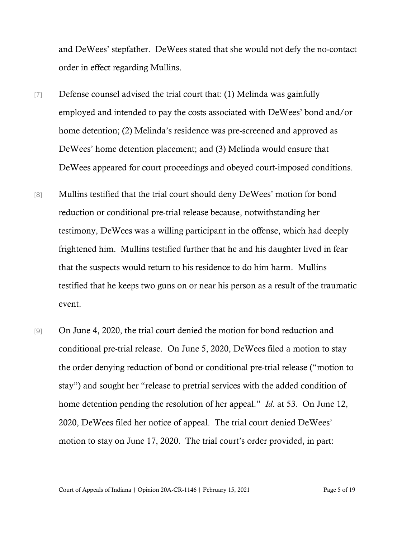and DeWees' stepfather. DeWees stated that she would not defy the no-contact order in effect regarding Mullins.

- [7] Defense counsel advised the trial court that: (1) Melinda was gainfully employed and intended to pay the costs associated with DeWees' bond and/or home detention; (2) Melinda's residence was pre-screened and approved as DeWees' home detention placement; and (3) Melinda would ensure that DeWees appeared for court proceedings and obeyed court-imposed conditions.
- [8] Mullins testified that the trial court should deny DeWees' motion for bond reduction or conditional pre-trial release because, notwithstanding her testimony, DeWees was a willing participant in the offense, which had deeply frightened him. Mullins testified further that he and his daughter lived in fear that the suspects would return to his residence to do him harm. Mullins testified that he keeps two guns on or near his person as a result of the traumatic event.
- [9] On June 4, 2020, the trial court denied the motion for bond reduction and conditional pre-trial release. On June 5, 2020, DeWees filed a motion to stay the order denying reduction of bond or conditional pre-trial release ("motion to stay") and sought her "release to pretrial services with the added condition of home detention pending the resolution of her appeal." *Id*. at 53. On June 12, 2020, DeWees filed her notice of appeal. The trial court denied DeWees' motion to stay on June 17, 2020. The trial court's order provided, in part:

Court of Appeals of Indiana | Opinion 20A-CR-1146 | February 15, 2021 Page 5 of 19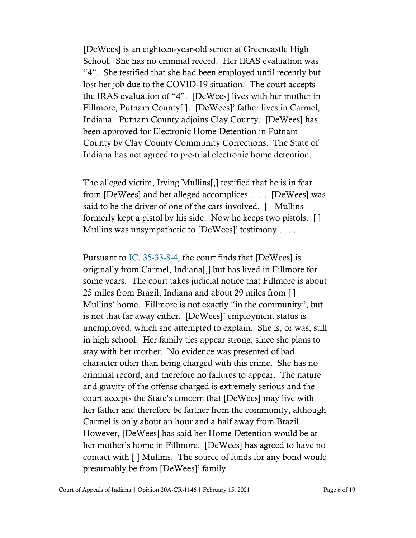[DeWees] is an eighteen-year-old senior at Greencastle High School. She has no criminal record. Her IRAS evaluation was "4". She testified that she had been employed until recently but lost her job due to the COVID-19 situation. The court accepts the IRAS evaluation of "4". [DeWees] lives with her mother in Fillmore, Putnam County[ ]. [DeWees]' father lives in Carmel, Indiana. Putnam County adjoins Clay County. [DeWees] has been approved for Electronic Home Detention in Putnam County by Clay County Community Corrections. The State of Indiana has not agreed to pre-trial electronic home detention.

The alleged victim, Irving Mullins[,] testified that he is in fear from [DeWees] and her alleged accomplices . . . . [DeWees] was said to be the driver of one of the cars involved. [ ] Mullins formerly kept a pistol by his side. Now he keeps two pistols. [ ] Mullins was unsympathetic to [DeWees]' testimony . . . .

Pursuant to [IC. 35-33-8-4,](https://www.westlaw.com/Document/N52A43430557F11E7BB4ADBEAC9857F2B/View/FullText.html?transitionType=Default&contextData=(sc.Default)&VR=3.0&RS=da3.0) the court finds that [DeWees] is originally from Carmel, Indiana[,] but has lived in Fillmore for some years. The court takes judicial notice that Fillmore is about 25 miles from Brazil, Indiana and about 29 miles from [ ] Mullins' home. Fillmore is not exactly "in the community", but is not that far away either. [DeWees]' employment status is unemployed, which she attempted to explain. She is, or was, still in high school. Her family ties appear strong, since she plans to stay with her mother. No evidence was presented of bad character other than being charged with this crime. She has no criminal record, and therefore no failures to appear. The nature and gravity of the offense charged is extremely serious and the court accepts the State's concern that [DeWees] may live with her father and therefore be farther from the community, although Carmel is only about an hour and a half away from Brazil. However, [DeWees] has said her Home Detention would be at her mother's home in Fillmore. [DeWees] has agreed to have no contact with [ ] Mullins. The source of funds for any bond would presumably be from [DeWees]' family.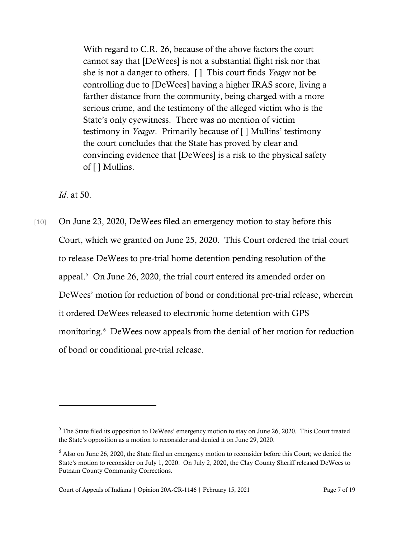With regard to C.R. 26, because of the above factors the court cannot say that [DeWees] is not a substantial flight risk nor that she is not a danger to others. [ ] This court finds *Yeager* not be controlling due to [DeWees] having a higher IRAS score, living a farther distance from the community, being charged with a more serious crime, and the testimony of the alleged victim who is the State's only eyewitness. There was no mention of victim testimony in *Yeager*. Primarily because of [ ] Mullins' testimony the court concludes that the State has proved by clear and convincing evidence that [DeWees] is a risk to the physical safety of [ ] Mullins.

*Id*. at 50.

[10] On June 23, 2020, DeWees filed an emergency motion to stay before this Court, which we granted on June 25, 2020. This Court ordered the trial court to release DeWees to pre-trial home detention pending resolution of the appeal.[5](#page-6-0) On June 26, 2020, the trial court entered its amended order on DeWees' motion for reduction of bond or conditional pre-trial release, wherein it ordered DeWees released to electronic home detention with GPS monitoring.<sup>[6](#page-6-1)</sup> DeWees now appeals from the denial of her motion for reduction of bond or conditional pre-trial release.

<span id="page-6-0"></span><sup>5</sup> The State filed its opposition to DeWees' emergency motion to stay on June 26, 2020. This Court treated the State's opposition as a motion to reconsider and denied it on June 29, 2020.

<span id="page-6-1"></span><sup>6</sup> Also on June 26, 2020, the State filed an emergency motion to reconsider before this Court; we denied the State's motion to reconsider on July 1, 2020. On July 2, 2020, the Clay County Sheriff released DeWees to Putnam County Community Corrections.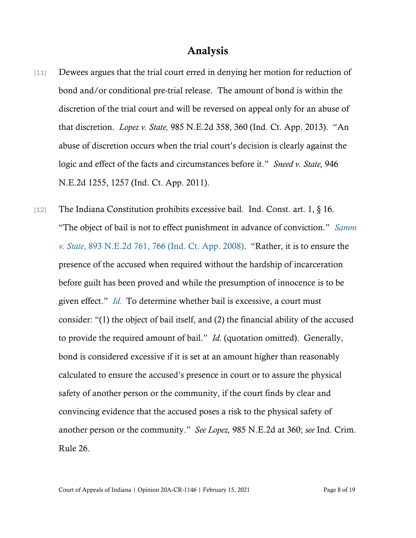## Analysis

- [11] Dewees argues that the trial court erred in denying her motion for reduction of bond and/or conditional pre-trial release. The amount of bond is within the discretion of the trial court and will be reversed on appeal only for an abuse of that discretion. *Lopez v. State,* 985 N.E.2d 358, 360 (Ind. Ct. App. 2013). "An abuse of discretion occurs when the trial court's decision is clearly against the logic and effect of the facts and circumstances before it." *Sneed v. State,* 946 N.E.2d 1255, 1257 (Ind. Ct. App. 2011).
- [12] The Indiana Constitution prohibits excessive bail. Ind. Const. art. 1, § 16. "The object of bail is not to effect punishment in advance of conviction." *[Samm](https://www.westlaw.com/Document/Id9a16c8288c611ddbc7bf97f340af743/View/FullText.html?transitionType=Default&contextData=(sc.Default)&VR=3.0&RS=da3.0&fragmentIdentifier=co_pp_sp_578_766) v. [State](https://www.westlaw.com/Document/Id9a16c8288c611ddbc7bf97f340af743/View/FullText.html?transitionType=Default&contextData=(sc.Default)&VR=3.0&RS=da3.0&fragmentIdentifier=co_pp_sp_578_766)*[, 893 N.E.2d 761, 766 \(Ind. Ct. App. 2008\).](https://www.westlaw.com/Document/Id9a16c8288c611ddbc7bf97f340af743/View/FullText.html?transitionType=Default&contextData=(sc.Default)&VR=3.0&RS=da3.0&fragmentIdentifier=co_pp_sp_578_766) "Rather, it is to ensure the presence of the accused when required without the hardship of incarceration before guilt has been proved and while the presumption of innocence is to be given effect." *[Id.](https://www.westlaw.com/Document/Id9a16c8288c611ddbc7bf97f340af743/View/FullText.html?transitionType=Default&contextData=(sc.Default)&VR=3.0&RS=da3.0)* To determine whether bail is excessive, a court must consider: "(1) the object of bail itself, and (2) the financial ability of the accused to provide the required amount of bail." *Id.* (quotation omitted). Generally, bond is considered excessive if it is set at an amount higher than reasonably calculated to ensure the accused's presence in court or to assure the physical safety of another person or the community, if the court finds by clear and convincing evidence that the accused poses a risk to the physical safety of another person or the community." *See Lopez,* 985 N.E.2d at 360; *see* Ind. Crim. Rule 26.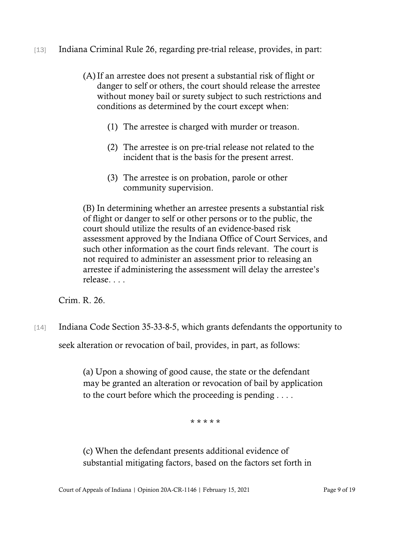- [13] Indiana Criminal Rule 26, regarding pre-trial release, provides, in part:
	- (A)If an arrestee does not present a substantial risk of flight or danger to self or others, the court should release the arrestee without money bail or surety subject to such restrictions and conditions as determined by the court except when:
		- (1) The arrestee is charged with murder or treason.
		- (2) The arrestee is on pre-trial release not related to the incident that is the basis for the present arrest.
		- (3) The arrestee is on probation, parole or other community supervision.

(B) In determining whether an arrestee presents a substantial risk of flight or danger to self or other persons or to the public, the court should utilize the results of an evidence-based risk assessment approved by the Indiana Office of Court Services, and such other information as the court finds relevant. The court is not required to administer an assessment prior to releasing an arrestee if administering the assessment will delay the arrestee's release. . . .

Crim. R. 26.

[14] Indiana Code Section 35-33-8-5, which grants defendants the opportunity to

seek alteration or revocation of bail, provides, in part, as follows:

(a) Upon a showing of good cause, the state or the defendant may be granted an alteration or revocation of bail by application to the court before which the proceeding is pending . . . .

\* \* \* \* \*

(c) When the defendant presents additional evidence of substantial mitigating factors, based on the factors set forth in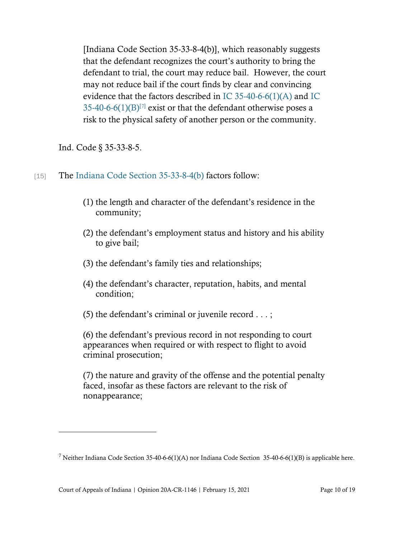[Indiana Code Section 35-33-8-4(b)], which reasonably suggests that the defendant recognizes the court's authority to bring the defendant to trial, the court may reduce bail. However, the court may not reduce bail if the court finds by clear and convincing evidence that the factors described in [IC 35-40-6-6\(1\)\(A\)](https://www.westlaw.com/Document/N8B297BB0817511DB8132CD13D2280436/View/FullText.html?transitionType=Default&contextData=(sc.Default)&VR=3.0&RS=da3.0) and [IC](https://www.westlaw.com/Document/N8B297BB0817511DB8132CD13D2280436/View/FullText.html?transitionType=Default&contextData=(sc.Default)&VR=3.0&RS=da3.0)   $35-40-6-6(1)(B)^{[7]}$  $35-40-6-6(1)(B)^{[7]}$  $35-40-6-6(1)(B)^{[7]}$  exist or that the defendant otherwise poses a risk to the physical safety of another person or the community.

Ind. Code § 35-33-8-5.

- [15] The [Indiana Code Section 35-33-8-4\(b\)](https://www.westlaw.com/Document/N52A43430557F11E7BB4ADBEAC9857F2B/View/FullText.html?transitionType=Default&contextData=(sc.Default)&VR=3.0&RS=da3.0) factors follow:
	- (1) the length and character of the defendant's residence in the community;
	- (2) the defendant's employment status and history and his ability to give bail;
	- (3) the defendant's family ties and relationships;
	- (4) the defendant's character, reputation, habits, and mental condition;
	- (5) the defendant's criminal or juvenile record . . . ;

(6) the defendant's previous record in not responding to court appearances when required or with respect to flight to avoid criminal prosecution;

(7) the nature and gravity of the offense and the potential penalty faced, insofar as these factors are relevant to the risk of nonappearance;

<span id="page-9-0"></span><sup>&</sup>lt;sup>7</sup> Neither Indiana Code Section 35-40-6-6(1)(A) nor Indiana Code Section 35-40-6-6(1)(B) is applicable here.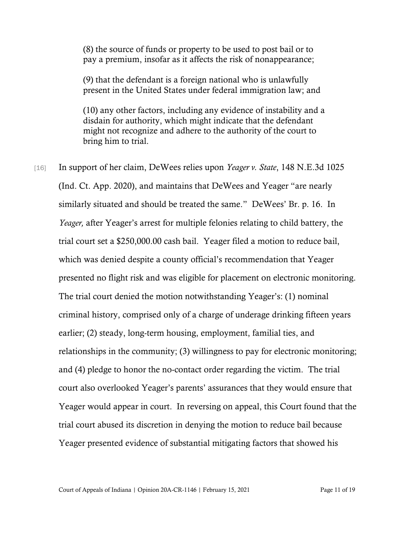(8) the source of funds or property to be used to post bail or to pay a premium, insofar as it affects the risk of nonappearance;

(9) that the defendant is a foreign national who is unlawfully present in the United States under federal immigration law; and

(10) any other factors, including any evidence of instability and a disdain for authority, which might indicate that the defendant might not recognize and adhere to the authority of the court to bring him to trial.

[16] In support of her claim, DeWees relies upon *Yeager v. State*, 148 N.E.3d 1025 (Ind. Ct. App. 2020), and maintains that DeWees and Yeager "are nearly similarly situated and should be treated the same." DeWees' Br. p. 16. In *Yeager,* after Yeager's arrest for multiple felonies relating to child battery, the trial court set a \$250,000.00 cash bail. Yeager filed a motion to reduce bail, which was denied despite a county official's recommendation that Yeager presented no flight risk and was eligible for placement on electronic monitoring. The trial court denied the motion notwithstanding Yeager's: (1) nominal criminal history, comprised only of a charge of underage drinking fifteen years earlier; (2) steady, long-term housing, employment, familial ties, and relationships in the community; (3) willingness to pay for electronic monitoring; and (4) pledge to honor the no-contact order regarding the victim. The trial court also overlooked Yeager's parents' assurances that they would ensure that Yeager would appear in court. In reversing on appeal, this Court found that the trial court abused its discretion in denying the motion to reduce bail because Yeager presented evidence of substantial mitigating factors that showed his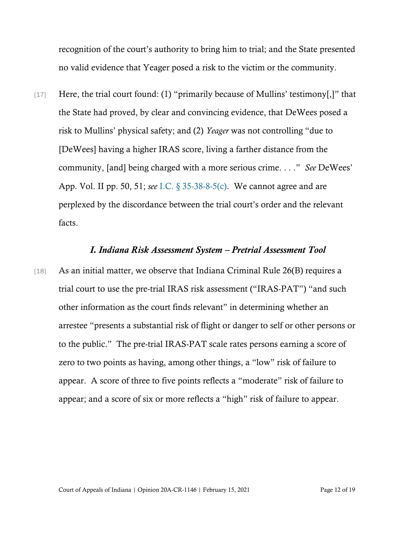recognition of the court's authority to bring him to trial; and the State presented no valid evidence that Yeager posed a risk to the victim or the community.

[17] Here, the trial court found: (1) "primarily because of Mullins' testimony[,]" that the State had proved, by clear and convincing evidence, that DeWees posed a risk to Mullins' physical safety; and (2) *Yeager* was not controlling "due to [DeWees] having a higher IRAS score, living a farther distance from the community, [and] being charged with a more serious crime. . . ." *See* DeWees' App. Vol. II pp. 50, 51; *see* [I.C. § 35-38-8-5\(c\).](https://www.westlaw.com/Document/N806E3240D7C911E28641E2E2B81BC9DE/View/FullText.html?transitionType=Default&contextData=(sc.Default)&VR=3.0&RS=da3.0) We cannot agree and are perplexed by the discordance between the trial court's order and the relevant facts.

#### *I. Indiana Risk Assessment System – Pretrial Assessment Tool*

[18] As an initial matter, we observe that Indiana Criminal Rule 26(B) requires a trial court to use the pre-trial IRAS risk assessment ("IRAS-PAT") "and such other information as the court finds relevant" in determining whether an arrestee "presents a substantial risk of flight or danger to self or other persons or to the public." The pre-trial IRAS-PAT scale rates persons earning a score of zero to two points as having, among other things, a "low" risk of failure to appear. A score of three to five points reflects a "moderate" risk of failure to appear; and a score of six or more reflects a "high" risk of failure to appear.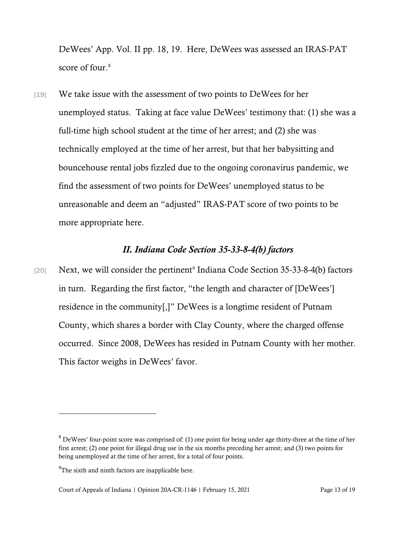DeWees' App. Vol. II pp. 18, 19. Here, DeWees was assessed an IRAS-PAT score of four.<sup>[8](#page-12-0)</sup>

[19] We take issue with the assessment of two points to DeWees for her unemployed status. Taking at face value DeWees' testimony that: (1) she was a full-time high school student at the time of her arrest; and (2) she was technically employed at the time of her arrest, but that her babysitting and bouncehouse rental jobs fizzled due to the ongoing coronavirus pandemic, we find the assessment of two points for DeWees' unemployed status to be unreasonable and deem an "adjusted" IRAS-PAT score of two points to be more appropriate here.

### *II. Indiana Code Section 35-33-8-4(b) factors*

[20] Next, we will consider the pertinent<sup>[9](#page-12-1)</sup> Indiana Code Section 35-33-8-4(b) factors in turn. Regarding the first factor, "the length and character of [DeWees'] residence in the community[,]" DeWees is a longtime resident of Putnam County, which shares a border with Clay County, where the charged offense occurred. Since 2008, DeWees has resided in Putnam County with her mother. This factor weighs in DeWees' favor.

<span id="page-12-0"></span><sup>&</sup>lt;sup>8</sup> DeWees' four-point score was comprised of: (1) one point for being under age thirty-three at the time of her first arrest; (2) one point for illegal drug use in the six months preceding her arrest; and (3) two points for being unemployed at the time of her arrest, for a total of four points.

<span id="page-12-1"></span> $^{9}$ The sixth and ninth factors are inapplicable here.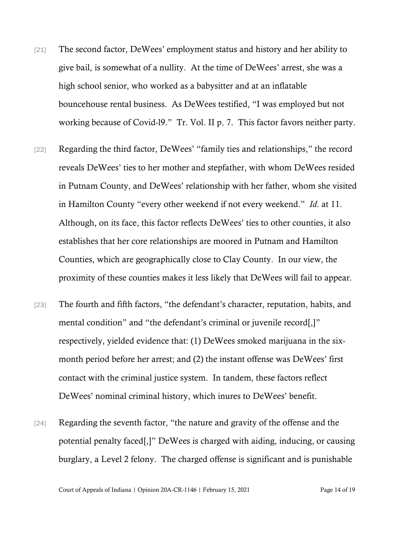- [21] The second factor, DeWees' employment status and history and her ability to give bail, is somewhat of a nullity. At the time of DeWees' arrest, she was a high school senior, who worked as a babysitter and at an inflatable bouncehouse rental business. As DeWees testified, "I was employed but not working because of Covid-l9." Tr. Vol. II p. 7. This factor favors neither party.
- [22] Regarding the third factor, DeWees' "family ties and relationships," the record reveals DeWees' ties to her mother and stepfather, with whom DeWees resided in Putnam County, and DeWees' relationship with her father, whom she visited in Hamilton County "every other weekend if not every weekend." *Id*. at 11. Although, on its face, this factor reflects DeWees' ties to other counties, it also establishes that her core relationships are moored in Putnam and Hamilton Counties, which are geographically close to Clay County. In our view, the proximity of these counties makes it less likely that DeWees will fail to appear.
- [23] The fourth and fifth factors, "the defendant's character, reputation, habits, and mental condition" and "the defendant's criminal or juvenile record[,]" respectively, yielded evidence that: (1) DeWees smoked marijuana in the sixmonth period before her arrest; and (2) the instant offense was DeWees' first contact with the criminal justice system. In tandem, these factors reflect DeWees' nominal criminal history, which inures to DeWees' benefit.
- [24] Regarding the seventh factor, "the nature and gravity of the offense and the potential penalty faced[,]" DeWees is charged with aiding, inducing, or causing burglary, a Level 2 felony. The charged offense is significant and is punishable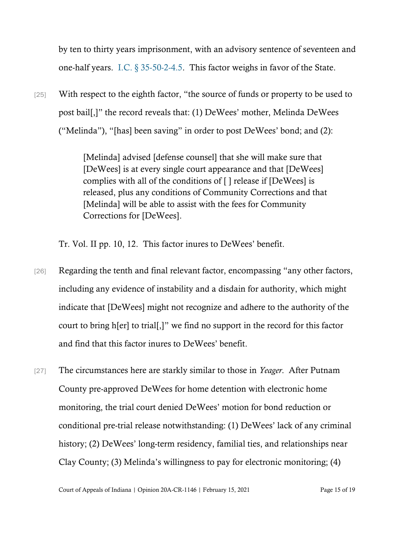by ten to thirty years imprisonment, with an advisory sentence of seventeen and one-half years. [I.C. § 35-50-2-4.5.](https://www.westlaw.com/Document/N7058ACC0E28A11E28843F593B78874C5/View/FullText.html?transitionType=Default&contextData=(sc.Default)&VR=3.0&RS=da3.0) This factor weighs in favor of the State.

[25] With respect to the eighth factor, "the source of funds or property to be used to post bail[,]" the record reveals that: (1) DeWees' mother, Melinda DeWees ("Melinda"), "[has] been saving" in order to post DeWees' bond; and (2):

> [Melinda] advised [defense counsel] that she will make sure that [DeWees] is at every single court appearance and that [DeWees] complies with all of the conditions of [ ] release if [DeWees] is released, plus any conditions of Community Corrections and that [Melinda] will be able to assist with the fees for Community Corrections for [DeWees].

Tr. Vol. II pp. 10, 12. This factor inures to DeWees' benefit.

- [26] Regarding the tenth and final relevant factor, encompassing "any other factors, including any evidence of instability and a disdain for authority, which might indicate that [DeWees] might not recognize and adhere to the authority of the court to bring h[er] to trial[,]" we find no support in the record for this factor and find that this factor inures to DeWees' benefit.
- [27] The circumstances here are starkly similar to those in *Yeager*. After Putnam County pre-approved DeWees for home detention with electronic home monitoring, the trial court denied DeWees' motion for bond reduction or conditional pre-trial release notwithstanding: (1) DeWees' lack of any criminal history; (2) DeWees' long-term residency, familial ties, and relationships near Clay County; (3) Melinda's willingness to pay for electronic monitoring; (4)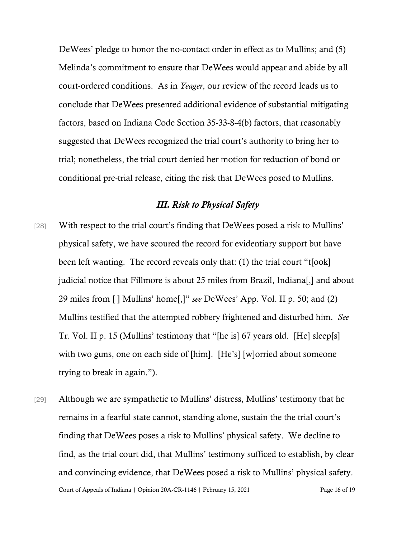DeWees' pledge to honor the no-contact order in effect as to Mullins; and (5) Melinda's commitment to ensure that DeWees would appear and abide by all court-ordered conditions. As in *Yeager*, our review of the record leads us to conclude that DeWees presented additional evidence of substantial mitigating factors, based on Indiana Code Section 35-33-8-4(b) factors, that reasonably suggested that DeWees recognized the trial court's authority to bring her to trial; nonetheless, the trial court denied her motion for reduction of bond or conditional pre-trial release, citing the risk that DeWees posed to Mullins.

# *III. Risk to Physical Safety*

- [28] With respect to the trial court's finding that DeWees posed a risk to Mullins' physical safety, we have scoured the record for evidentiary support but have been left wanting. The record reveals only that: (1) the trial court "t[ook] judicial notice that Fillmore is about 25 miles from Brazil, Indiana[,] and about 29 miles from [ ] Mullins' home[,]" *see* DeWees' App. Vol. II p. 50; and (2) Mullins testified that the attempted robbery frightened and disturbed him. *See* Tr. Vol. II p. 15 (Mullins' testimony that "[he is] 67 years old. [He] sleep[s] with two guns, one on each side of [him]. [He's] [w]orried about someone trying to break in again.").
- Court of Appeals of Indiana | Opinion 20A-CR-1146 | February 15, 2021 Page 16 of 19 [29] Although we are sympathetic to Mullins' distress, Mullins' testimony that he remains in a fearful state cannot, standing alone, sustain the the trial court's finding that DeWees poses a risk to Mullins' physical safety. We decline to find, as the trial court did, that Mullins' testimony sufficed to establish, by clear and convincing evidence, that DeWees posed a risk to Mullins' physical safety.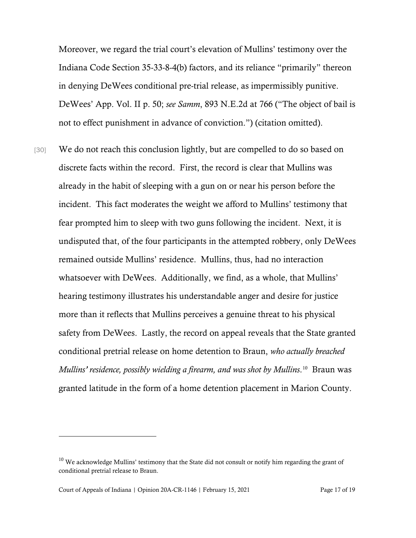Moreover, we regard the trial court's elevation of Mullins' testimony over the Indiana Code Section 35-33-8-4(b) factors, and its reliance "primarily" thereon in denying DeWees conditional pre-trial release, as impermissibly punitive. DeWees' App. Vol. II p. 50; *see Samm*, 893 N.E.2d at 766 ("The object of bail is not to effect punishment in advance of conviction.") (citation omitted).

[30] We do not reach this conclusion lightly, but are compelled to do so based on discrete facts within the record. First, the record is clear that Mullins was already in the habit of sleeping with a gun on or near his person before the incident. This fact moderates the weight we afford to Mullins' testimony that fear prompted him to sleep with two guns following the incident. Next, it is undisputed that, of the four participants in the attempted robbery, only DeWees remained outside Mullins' residence. Mullins, thus, had no interaction whatsoever with DeWees. Additionally, we find, as a whole, that Mullins' hearing testimony illustrates his understandable anger and desire for justice more than it reflects that Mullins perceives a genuine threat to his physical safety from DeWees. Lastly, the record on appeal reveals that the State granted conditional pretrial release on home detention to Braun, *who actually breached Mullins' residence, possibly wielding a firearm, and was shot by Mullins*. [10](#page-16-0) Braun was granted latitude in the form of a home detention placement in Marion County.

<span id="page-16-0"></span><sup>&</sup>lt;sup>10</sup> We acknowledge Mullins' testimony that the State did not consult or notify him regarding the grant of conditional pretrial release to Braun.

Court of Appeals of Indiana | Opinion 20A-CR-1146 | February 15, 2021 Page 17 of 19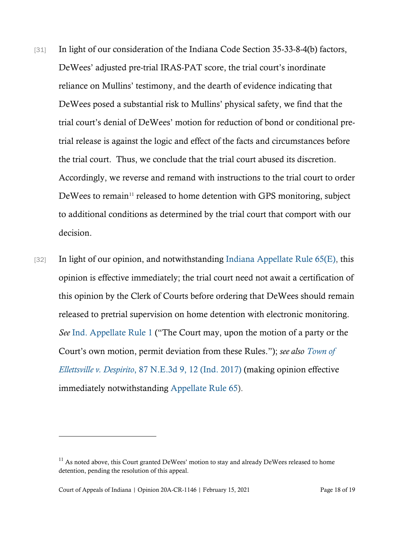- [31] In light of our consideration of the Indiana Code Section 35-33-8-4(b) factors, DeWees' adjusted pre-trial IRAS-PAT score, the trial court's inordinate reliance on Mullins' testimony, and the dearth of evidence indicating that DeWees posed a substantial risk to Mullins' physical safety, we find that the trial court's denial of DeWees' motion for reduction of bond or conditional pretrial release is against the logic and effect of the facts and circumstances before the trial court. Thus, we conclude that the trial court abused its discretion. Accordingly, we reverse and remand with instructions to the trial court to order DeWees to remain<sup>[11](#page-17-0)</sup> released to home detention with GPS monitoring, subject to additional conditions as determined by the trial court that comport with our decision.
- $[32]$  In light of our opinion, and notwithstanding Indiana [Appellate](https://1.next.westlaw.com/Link/Document/FullText?findType=L&pubNum=1007025&cite=INSRAPR65&originatingDoc=Idbb3bde08f1011ea81b1c9303791cfc3&refType=LQ&originationContext=document&transitionType=DocumentItem&contextData=(sc.History*oc.Search)) Rule 65(E), this opinion is effective immediately; the trial court need not await a certification of this opinion by the Clerk of Courts before ordering that DeWees should remain released to pretrial supervision on home detention with electronic monitoring. *See* Ind. [Appellate](https://1.next.westlaw.com/Link/Document/FullText?findType=L&pubNum=1007025&cite=INSRAPR1&originatingDoc=Idbb3bde08f1011ea81b1c9303791cfc3&refType=LQ&originationContext=document&transitionType=DocumentItem&contextData=(sc.History*oc.Search)) Rule 1 ("The Court may, upon the motion of a party or the Court's own motion, permit deviation from these Rules."); *see also [Town](https://1.next.westlaw.com/Link/Document/FullText?findType=Y&serNum=2043364347&pubNum=0007902&originatingDoc=Idbb3bde08f1011ea81b1c9303791cfc3&refType=RP&fi=co_pp_sp_7902_12&originationContext=document&transitionType=DocumentItem&contextData=(sc.History*oc.Search)#co_pp_sp_7902_12) of [Ellettsville](https://1.next.westlaw.com/Link/Document/FullText?findType=Y&serNum=2043364347&pubNum=0007902&originatingDoc=Idbb3bde08f1011ea81b1c9303791cfc3&refType=RP&fi=co_pp_sp_7902_12&originationContext=document&transitionType=DocumentItem&contextData=(sc.History*oc.Search)#co_pp_sp_7902_12) v. Despirito*, 87 N.E.3d 9, 12 (Ind. 2017) (making opinion effective immediately notwithstanding [Appellate](https://1.next.westlaw.com/Link/Document/FullText?findType=L&pubNum=1007025&cite=INSRAPR65&originatingDoc=Idbb3bde08f1011ea81b1c9303791cfc3&refType=LQ&originationContext=document&transitionType=DocumentItem&contextData=(sc.History*oc.Search)) Rule 65).

<span id="page-17-0"></span> $11$  As noted above, this Court granted DeWees' motion to stay and already DeWees released to home detention, pending the resolution of this appeal.

Court of Appeals of Indiana | Opinion 20A-CR-1146 | February 15, 2021 Page 18 of 19